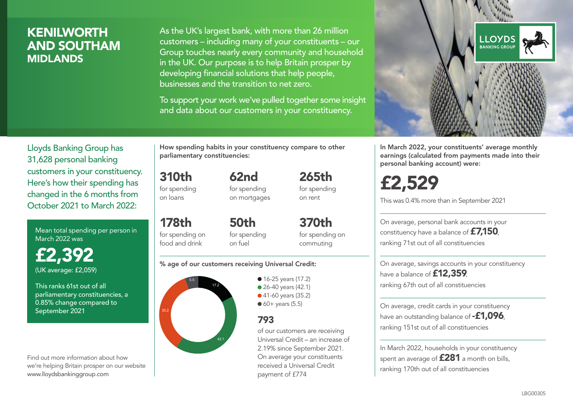## **KENILWORTH** AND SOUTHAM MIDLANDS

As the UK's largest bank, with more than 26 million customers – including many of your constituents – our Group touches nearly every community and household in the UK. Our purpose is to help Britain prosper by developing financial solutions that help people, businesses and the transition to net zero.

To support your work we've pulled together some insight and data about our customers in your constituency.



Mean total spending per person in March 2022 was

£2,392 (UK average: £2,059)

This ranks 61st out of all parliamentary constituencies, a 0.85% change compared to September 2021

Find out more information about how we're helping Britain prosper on our website www.lloydsbankinggroup.com

How spending habits in your constituency compare to other parliamentary constituencies:

310th for spending

on loans

178th

for spending on mortgages

62nd

265th for spending on rent

for spending on food and drink 50th for spending on fuel

370th for spending on commuting

#### % age of our customers receiving Universal Credit:



• 16-25 years (17.2) • 26-40 years (42.1) ● 41-60 years (35.2)  $60+$  years (5.5)

### 793

of our customers are receiving Universal Credit – an increase of 2.19% since September 2021. On average your constituents received a Universal Credit payment of £774



In March 2022, your constituents' average monthly earnings (calculated from payments made into their personal banking account) were:

£2,529

This was 0.4% more than in September 2021

On average, personal bank accounts in your constituency have a balance of £7,150, ranking 71st out of all constituencies

On average, savings accounts in your constituency have a balance of **£12,359** ranking 67th out of all constituencies

On average, credit cards in your constituency have an outstanding balance of **-£1,096**, ranking 151st out of all constituencies

In March 2022, households in your constituency spent an average of **£281** a month on bills, ranking 170th out of all constituencies